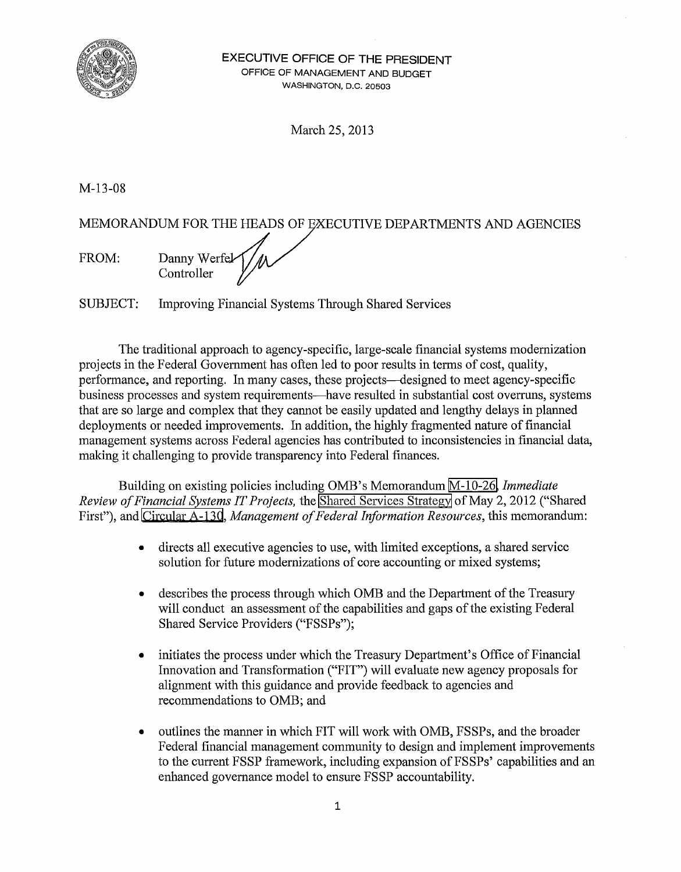

**EXECUTIVE OFFICE OF THE PRESIDENT**  OFFICE OF MANAGEMENT AND BUDGET WASHINGTON, D.C. 20503

March 25, 2013

M-13-08

MEMORANDUM FOR THE HEADS OF EXECUTIVE DEPARTMENTS AND AGENCIES

FROM: Danny Werfel Controller

SUBJECT: Improving Financial Systems Through Shared Services

The traditional approach to agency-specific, large-scale financial systems modernization projects in the Federal Government has often led to poor results in terms of cost, quality, performance, and reporting. In many cases, these projects-designed to meet agency-specific business processes and system requirements-have resulted in substantial cost overruns, systems that are so large and complex that they cannot be easily updated and lengthy delays in planned deployments or needed improvements. In addition, the highly fragmented nature of financial management systems across Federal agencies has contributed to inconsistencies in fmancial data, making it challenging to provide transparency into Federal fmances.

Building on existing policies including OMB's Memorandum [M-10-26,](http://www.whitehouse.gov/sites/default/files/omb/assets/memoranda_2010/m-10-26.pdf) *Immediate Review ofFinancial Systems IT Projects,* the [Shared Services Strategy](http://www.whitehouse.gov/sites/default/files/omb/assets/egov_docs/shared_services_strategy.pdf) of May 2, 2012 ("Shared First"), and [Circular A-130,](http://www.whitehouse.gov/omb/circulars_a130_a130trans4) *Management of Federal Information Resources*, this memorandum:

- directs all executive agencies to use, with limited exceptions, a shared service solution for future modernizations of core accounting or mixed systems;
- describes the process through which OMB and the Department of the Treasury will conduct an assessment of the capabilities and gaps of the existing Federal Shared Service Providers ("FSSPs");
- initiates the process under which the Treasury Department's Office of Financial Innovation and Transformation ("FIT") will evaluate new agency proposals for alignment with this guidance and provide feedback to agencies and recommendations to OMB; and
- outlines the manner in which FIT will work with OMB, FSSPs, and the broader Federal financial management community to design and implement improvements to the current FSSP framework, including expansion of FSSPs' capabilities and an enhanced governance model to ensure FSSP accountability.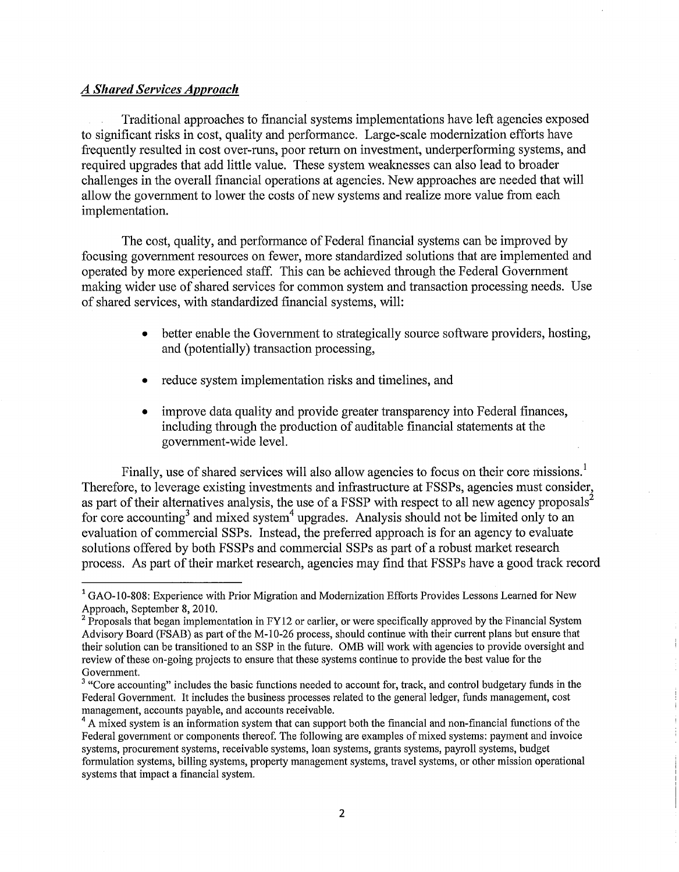### *A Shared Services Approach*

Traditional approaches to financial systems implementations have left agencies exposed to significant risks in cost, quality and performance. Large-scale modernization efforts have frequently resulted in cost over-runs, poor return on investment, underperforming systems, and required upgrades that add little value. These system weaknesses can also lead to broader challenges in the overall financial operations at agencies. New approaches are needed that will allow the government to lower the costs of new systems and realize more value from each implementation.

The cost, quality, and performance of Federal financial systems can be improved by focusing government resources on fewer, more standardized solutions that are implemented and operated by more experienced staff. This can be achieved through the Federal Government making wider use of shared services for common system and transaction processing needs. Use of shared services, with standardized financial systems, will:

- better enable the Government to strategically source software providers, hosting, and (potentially) transaction processing,
- reduce system implementation risks and timelines, and
- improve data quality and provide greater transparency into Federal finances, including through the production of auditable fmancial statements at the government-wide level.

Finally, use of shared services will also allow agencies to focus on their core missions.<sup>1</sup> Therefore, to leverage existing investments and infrastructure at FSSPs, agencies must consider, as part of their alternatives analysis, the use of a FSSP with respect to all new agency proposals<sup>2</sup> for core accounting<sup>3</sup> and mixed system<sup>4</sup> upgrades. Analysis should not be limited only to an evaluation of commercial SSPs. Instead, the preferred approach is for an agency to evaluate solutions offered by both FSSPs and commercial SSPs as part of a robust market research process. As part of their market research, agencies may find that FSSPs have a good track record

 $1<sup>1</sup>$  GAO-10-808: Experience with Prior Migration and Modernization Efforts Provides Lessons Learned for New

Approach, September 8, 2010.<br><sup>2</sup> Proposals that began implementation in FY12 or earlier, or were specifically approved by the Financial System Advisory Board (FSAB) as part of the M-10-26 process, should continue with their current plans but ensure that their solution can be transitioned to an SSP in the future. OMB will work with agencies to provide oversight and review ofthese on-going projects to ensure that these systems continue to provide the best value for the Government.

<sup>&</sup>lt;sup>3</sup> "Core accounting" includes the basic functions needed to account for, track, and control budgetary funds in the Federal Government. It includes the business processes related to the general ledger, funds management, cost management, accounts payable, and accounts receivable.<br><sup>4</sup> A mixed system is an information system that can support both the financial and non-financial functions of the

Federal government or components thereof. The following are examples of mixed systems: payment and invoice systems, procurement systems, receivable systems, loan systems, grants systems, payroll systems, budget formulation systems, billing systems, property management systems, travel systems, or other mission operational systems that impact a financial system.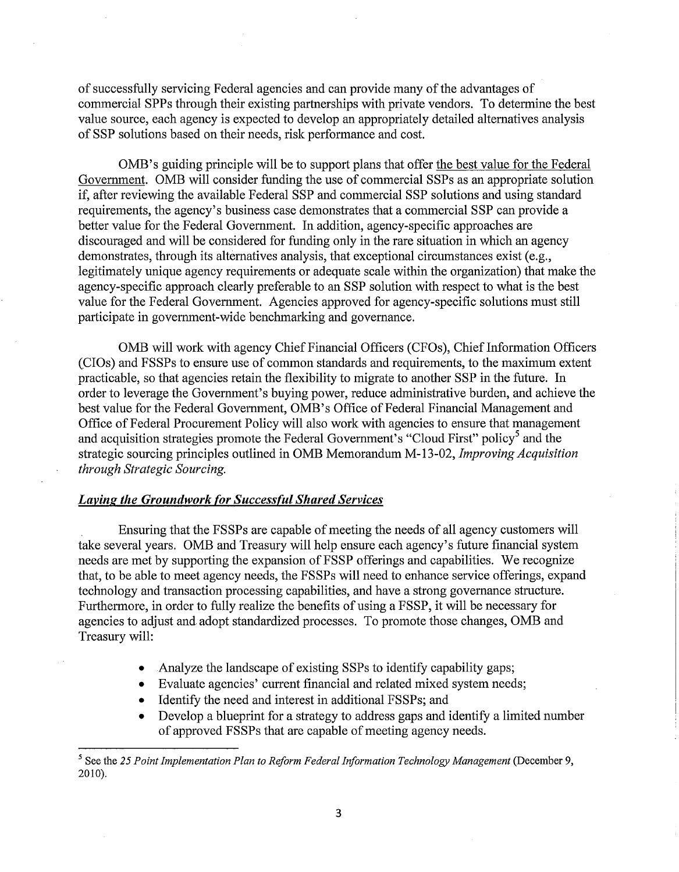of successfully servicing Federal agencies and can provide many of the advantages of commercial SPPs through their existing partnerships with private vendors. To determine the best value source, each agency is expected to develop an appropriately detailed alternatives analysis of SSP solutions based on their needs, risk performance and cost.

OMB's guiding principle will be to support plans that offer the best value for the Federal Government. OMB will consider funding the use of commercial SSPs as an appropriate solution if, after reviewing the available Federal SSP and commercial SSP solutions and using standard requirements, the agency's business case demonstrates that a commercial SSP can provide a better value for the Federal Government. In addition, agency-specific approaches are discouraged and will be considered for funding only in the rare situation in which an agency demonstrates, through its alternatives analysis, that exceptional circumstances exist (e.g., legitimately unique agency requirements or adequate scale within the organization) that make the agency-specific approach clearly preferable to an SSP solution with respect to what is the best value for the Federal Government. Agencies approved for agency-specific solutions must still participate in government-wide benchmarking and governance.

OMB will work with agency Chief Financial Officers (CFOs), Chief Information Officers (CIOs) and FSSPs to ensure use of common standards and requirements, to the maximum extent practicable, so that agencies retain the flexibility to migrate to another SSP in the future. In order to leverage the Government's buying power, reduce administrative burden, and achieve the best value for the Federal Government, OMB's Office of Federal Financial Management and Office of Federal Procurement Policy will also work with agencies to ensure that management and acquisition strategies promote the Federal Government's "Cloud First" policy<sup>5</sup> and the strategic sourcing principles outlined in OMB Memorandum M-13-02, *Improving Acquisition through Strategic Sourcing.* 

#### *Laying the Groundwork (or Success(ul Shared Services*

Ensuring that the FSSPs are capable of meeting the needs of all agency customers will take several years. OMB and Treasury will help ensure each agency's future financial system needs are met by supporting the expansion of FSSP offerings and capabilities. We recognize that, to be able to meet agency needs, the FSSPs will need to enhance service offerings, expand technology and transaction processing capabilities, and have a strong governance structure. Furthermore, in order to fully realize the benefits of using a FSSP, it will be necessary for agencies to adjust and. adopt standardized processes. To promote those changes, OMB and Treasury will:

- Analyze the landscape of existing SSPs to identify capability gaps;
- Evaluate agencies' current financial and related mixed system needs;
- Identify the need and interest in additional FSSPs; and
- Develop a blueprint for a strategy to address gaps and identify a limited number of approved FSSPs that are capable of meeting agency needs.

<sup>&</sup>lt;sup>5</sup> See the 25 Point Implementation Plan to Reform Federal Information Technology Management (December 9, 2010).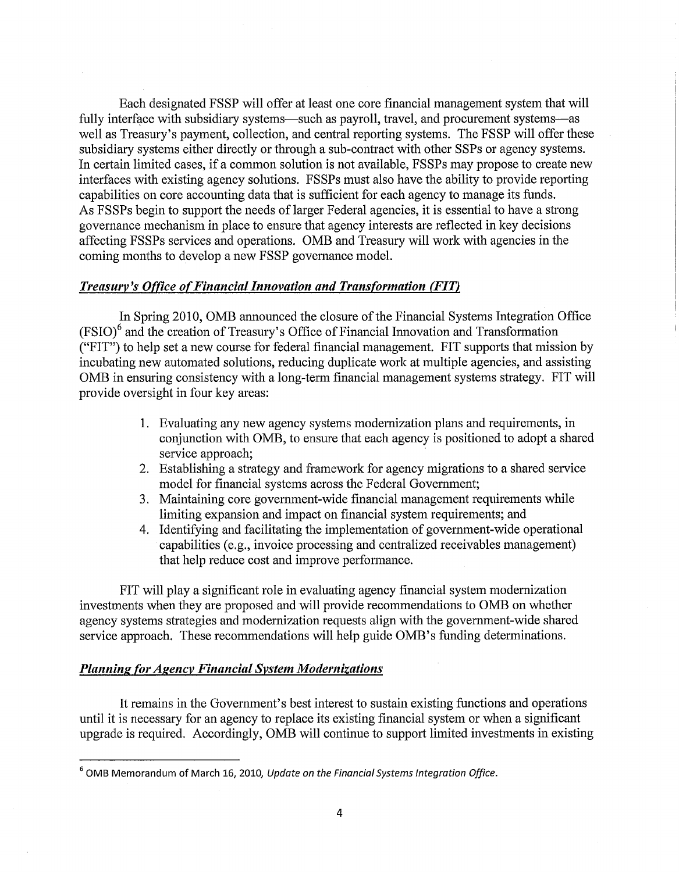Each designated FSSP will offer at least one core financial management system that will fully interface with subsidiary systems—such as payroll, travel, and procurement systems—as well as Treasury's payment, collection, and central reporting systems. The FSSP will offer these subsidiary systems either directly or through a sub-contract with other SSPs or agency systems. In certain limited cases, if a common solution is not available, FSSPs may propose to create new interfaces with existing agency solutions. FSSPs must also have the ability to provide reporting capabilities on core accounting data that is sufficient for each agency to manage its funds. As FSSPs begin to support the needs of larger Federal agencies, it is essential to have a strong governance mechanism in place to ensure that agency interests are reflected in key decisions affecting FSSPs services and operations. OMB and Treasury will work with agencies in the coming months to develop a new FSSP governance model.

# *Treasury's Office o{Financial Innovation and Transformation (FIT)*

In Spring 2010, OMB announced the closure of the Financial Systems Integration Office  $(FSIO)^6$  and the creation of Treasury's Office of Financial Innovation and Transformation ("FIT") to help set a new course for federal financial management. FIT supports that mission by incubating new automated solutions, reducing duplicate work at multiple agencies, and assisting OMB in ensuring consistency with a long-term financial management systems strategy. FIT will provide oversight in four key areas:

- **1.** Evaluating any new agency systems modernization plans and requirements, in conjunction with OMB, to ensure that each agency is positioned to adopt a shared service approach;
- 2. Establishing a strategy and framework for agency migrations to a shared service model for financial systems across the Federal Government;
- 3. Maintaining core government-wide financial management requirements while limiting expansion and impact on financial system requirements; and
- 4. Identifying and facilitating the implementation of government-wide operational capabilities (e.g., invoice processing and centralized receivables management) that help reduce cost and improve performance.

FIT will play a significant role in evaluating agency financial system modernization investments when they are proposed and will provide recommendations to OMB on whether agency systems strategies and modernization requests align with the government-wide shared service approach. These recommendations will help guide OMB's funding determinations.

## *Planning (or Agency Financial System Modernizations*

It remains in the Government's best interest to sustain existing functions and operations until it is necessary for an agency to replace its existing financial system or when a significant upgrade is required. Accordingly, OMB will continue to support limited investments in existing

<sup>6</sup>OMB Memorandum of March *16,* 2010, *Update on the Financial Systems Integration Office.*